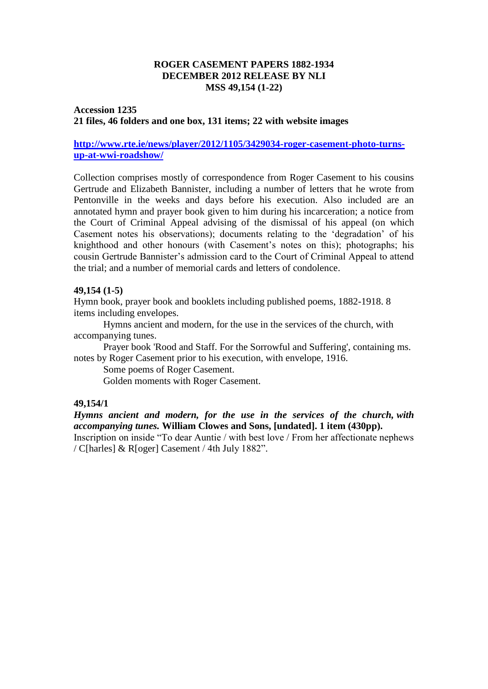## **ROGER CASEMENT PAPERS 1882-1934 DECEMBER 2012 RELEASE BY NLI MSS 49,154 (1-22)**

## **Accession 1235 21 files, 46 folders and one box, 131 items; 22 with website images**

## **[http://www.rte.ie/news/player/2012/1105/3429034-roger-casement-photo-turns](http://www.rte.ie/news/player/2012/1105/3429034-roger-casement-photo-turns-up-at-wwi-roadshow/)[up-at-wwi-roadshow/](http://www.rte.ie/news/player/2012/1105/3429034-roger-casement-photo-turns-up-at-wwi-roadshow/)**

Collection comprises mostly of correspondence from Roger Casement to his cousins Gertrude and Elizabeth Bannister, including a number of letters that he wrote from Pentonville in the weeks and days before his execution. Also included are an annotated hymn and prayer book given to him during his incarceration; a notice from the Court of Criminal Appeal advising of the dismissal of his appeal (on which Casement notes his observations); documents relating to the 'degradation' of his knighthood and other honours (with Casement's notes on this); photographs; his cousin Gertrude Bannister's admission card to the Court of Criminal Appeal to attend the trial; and a number of memorial cards and letters of condolence.

### **49,154 (1-5)**

Hymn book, prayer book and booklets including published poems, 1882-1918. 8 items including envelopes.

Hymns ancient and modern, for the use in the services of the church, with accompanying tunes.

Prayer book 'Rood and Staff. For the Sorrowful and Suffering', containing ms. notes by Roger Casement prior to his execution, with envelope, 1916.

Some poems of Roger Casement.

Golden moments with Roger Casement.

### **49,154/1**

*Hymns ancient and modern, for the use in the services of the church, with accompanying tunes.* **William Clowes and Sons, [undated]. 1 item (430pp).**

Inscription on inside "To dear Auntie / with best love / From her affectionate nephews / C[harles] & R[oger] Casement / 4th July 1882".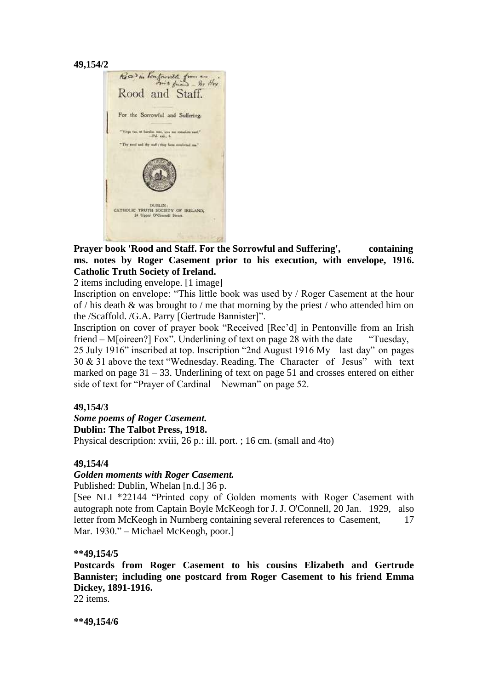$$
49{,}154/2
$$



**Prayer book 'Rood and Staff. For the Sorrowful and Suffering', containing ms. notes by Roger Casement prior to his execution, with envelope, 1916. Catholic Truth Society of Ireland.** 

2 items including envelope. [1 image]

Inscription on envelope: "This little book was used by / Roger Casement at the hour of / his death & was brought to / me that morning by the priest / who attended him on the /Scaffold. /G.A. Parry [Gertrude Bannister]".

Inscription on cover of prayer book "Received [Rec'd] in Pentonville from an Irish friend – M[oireen?] Fox". Underlining of text on page 28 with the date "Tuesday, 25 July 1916" inscribed at top. Inscription "2nd August 1916 My last day" on pages

30 & 31 above the text "Wednesday. Reading. The Character of Jesus" with text marked on page  $31 - 33$ . Underlining of text on page 51 and crosses entered on either side of text for "Prayer of Cardinal Newman" on page 52.

### **49,154/3**

#### *Some poems of Roger Casement.* **Dublin: The Talbot Press, 1918.**

Physical description: xviii, 26 p.: ill. port. ; 16 cm. (small and 4to)

### **49,154/4**

### *Golden moments with Roger Casement.*

Published: Dublin, Whelan [n.d.] 36 p.

[See NLI \*22144 "Printed copy of Golden moments with Roger Casement with autograph note from Captain Boyle McKeogh for J. J. O'Connell, 20 Jan. 1929, also letter from McKeogh in Nurnberg containing several references to Casement, 17 Mar. 1930." – Michael McKeogh, poor.]

### **\*\*49,154/5**

**Postcards from Roger Casement to his cousins Elizabeth and Gertrude Bannister; including one postcard from Roger Casement to his friend Emma Dickey, 1891-1916.**

22 items.

**\*\*49,154/6**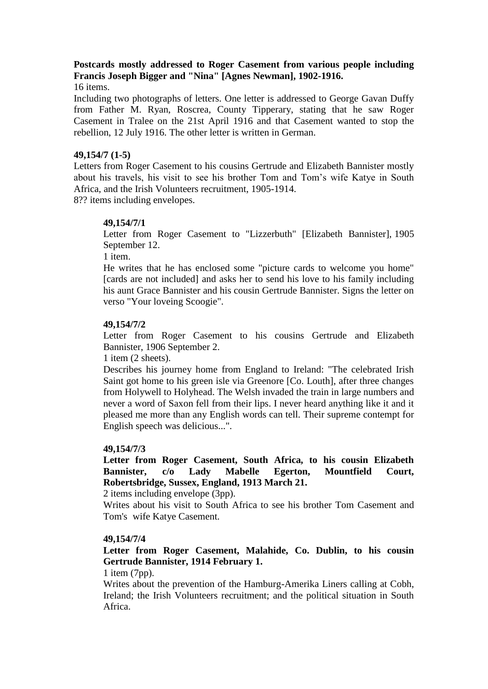# **Postcards mostly addressed to Roger Casement from various people including Francis Joseph Bigger and "Nina" [Agnes Newman], 1902-1916.**

16 items.

Including two photographs of letters. One letter is addressed to George Gavan Duffy from Father M. Ryan, Roscrea, County Tipperary, stating that he saw Roger Casement in Tralee on the 21st April 1916 and that Casement wanted to stop the rebellion, 12 July 1916. The other letter is written in German.

## **49,154/7 (1-5)**

Letters from Roger Casement to his cousins Gertrude and Elizabeth Bannister mostly about his travels, his visit to see his brother Tom and Tom's wife Katye in South Africa, and the Irish Volunteers recruitment, 1905-1914.

8?? items including envelopes.

## **49,154/7/1**

Letter from Roger Casement to "Lizzerbuth" [Elizabeth Bannister], 1905 September 12.

1 item.

He writes that he has enclosed some "picture cards to welcome you home" [cards are not included] and asks her to send his love to his family including his aunt Grace Bannister and his cousin Gertrude Bannister. Signs the letter on verso "Your loveing Scoogie".

## **49,154/7/2**

Letter from Roger Casement to his cousins Gertrude and Elizabeth Bannister, 1906 September 2.

1 item (2 sheets).

Describes his journey home from England to Ireland: "The celebrated Irish Saint got home to his green isle via Greenore [Co. Louth], after three changes from Holywell to Holyhead. The Welsh invaded the train in large numbers and never a word of Saxon fell from their lips. I never heard anything like it and it pleased me more than any English words can tell. Their supreme contempt for English speech was delicious...".

### **49,154/7/3**

**Letter from Roger Casement, South Africa, to his cousin Elizabeth Bannister, c/o Lady Mabelle Egerton, Mountfield Court, Robertsbridge, Sussex, England, 1913 March 21.**

2 items including envelope (3pp).

Writes about his visit to South Africa to see his brother Tom Casement and Tom's wife Katye Casement.

### **49,154/7/4**

**Letter from Roger Casement, Malahide, Co. Dublin, to his cousin Gertrude Bannister, 1914 February 1.**

## 1 item (7pp).

Writes about the prevention of the Hamburg-Amerika Liners calling at Cobh, Ireland; the Irish Volunteers recruitment; and the political situation in South Africa.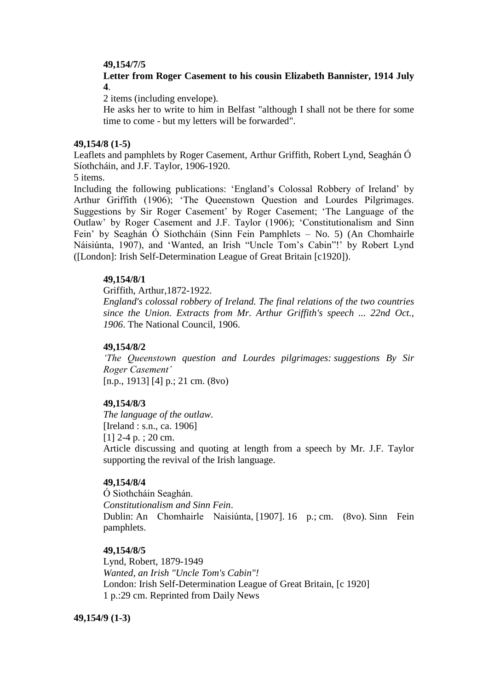### **49,154/7/5**

## **Letter from Roger Casement to his cousin Elizabeth Bannister, 1914 July 4**.

2 items (including envelope).

He asks her to write to him in Belfast "although I shall not be there for some time to come - but my letters will be forwarded".

#### **49,154/8 (1-5)**

Leaflets and pamphlets by Roger Casement, Arthur Griffith, Robert Lynd, Seaghán Ó Síothcháin, and J.F. Taylor, 1906-1920.

5 items.

Including the following publications: 'England's Colossal Robbery of Ireland' by Arthur Griffith (1906); 'The Queenstown Question and Lourdes Pilgrimages. Suggestions by Sir Roger Casement' by Roger Casement; 'The Language of the Outlaw' by Roger Casement and J.F. Taylor (1906); 'Constitutionalism and Sinn Fein' by Seaghán Ó Síothcháin (Sinn Fein Pamphlets – No. 5) (An Chomhairle Náisiúnta, 1907), and 'Wanted, an Irish "Uncle Tom's Cabin"!' by Robert Lynd ([London]: Irish Self-Determination League of Great Britain [c1920]).

#### **49,154/8/1**

Griffith, Arthur,1872-1922.

*England's colossal robbery of Ireland. The final relations of the two countries since the Union. Extracts from Mr. Arthur Griffith's speech ... 22nd Oct., 1906*. The National Council, 1906.

#### **49,154/8/2**

*'The Queenstown question and Lourdes pilgrimages: suggestions By Sir Roger Casement'* [n.p., 1913] [4] p.; 21 cm. (8vo)

#### **49,154/8/3**

*The language of the outlaw.* [Ireland : s.n., ca. 1906] [1] 2-4 p. ; 20 cm.

Article discussing and quoting at length from a speech by Mr. J.F. Taylor supporting the revival of the Irish language.

#### **49,154/8/4**

Ó Siothcháin Seaghán. *Constitutionalism and Sinn Fein*. Dublin: An Chomhairle Naisiúnta, [1907]. 16 p.; cm. (8vo). Sinn Fein pamphlets.

#### **49,154/8/5**

Lynd, Robert, 1879-1949 *Wanted, an Irish "Uncle Tom's Cabin"!* London: Irish Self-Determination League of Great Britain, [c 1920] 1 p.:29 cm. Reprinted from Daily News

#### **49,154/9 (1-3)**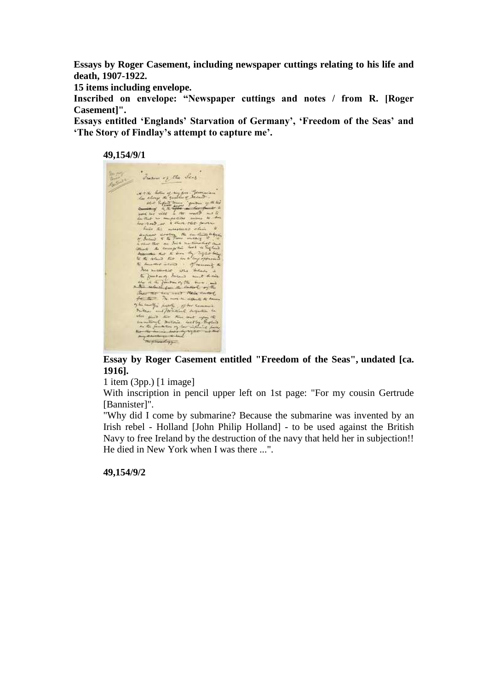**Essays by Roger Casement, including newspaper cuttings relating to his life and death, 1907-1922.**

**15 items including envelope.**

**Inscribed on envelope: "Newspaper cuttings and notes / from R. [Roger Casement]".**

**Essays entitled 'Englands' Starvation of Germany', 'Freedom of the Seas' and 'The Story of Findlay's attempt to capture me'.**

**49,154/9/1**



**Essay by Roger Casement entitled "Freedom of the Seas", undated [ca. 1916].**

1 item (3pp.) [1 image]

With inscription in pencil upper left on 1st page: "For my cousin Gertrude [Bannister]".

"Why did I come by submarine? Because the submarine was invented by an Irish rebel - Holland [John Philip Holland] - to be used against the British Navy to free Ireland by the destruction of the navy that held her in subjection!! He died in New York when I was there ...".

**49,154/9/2**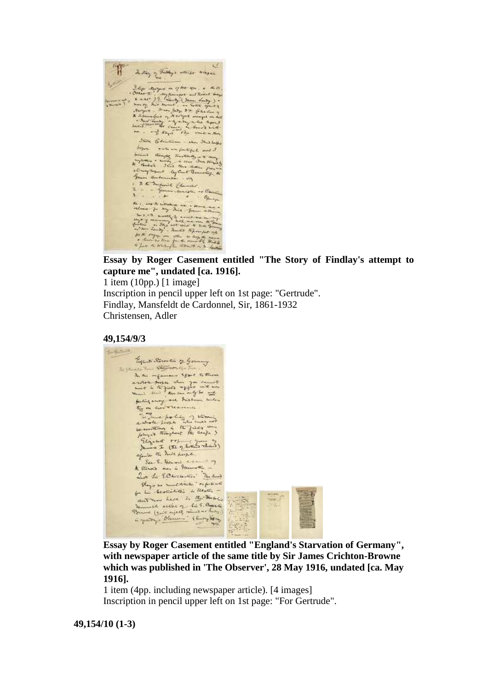

**Essay by Roger Casement entitled "The Story of Findlay's attempt to capture me", undated [ca. 1916].** 1 item (10pp.) [1 image]

Inscription in pencil upper left on 1st page: "Gertrude". Findlay, Mansfeldt de Cardonnel, Sir, 1861-1932 Christensen, Adler

#### **49,154/9/3**



**Essay by Roger Casement entitled "England's Starvation of Germany", with newspaper article of the same title by Sir James Crichton-Browne which was published in 'The Observer', 28 May 1916, undated [ca. May 1916].**

1 item (4pp. including newspaper article). [4 images] Inscription in pencil upper left on 1st page: "For Gertrude".

#### **49,154/10 (1-3)**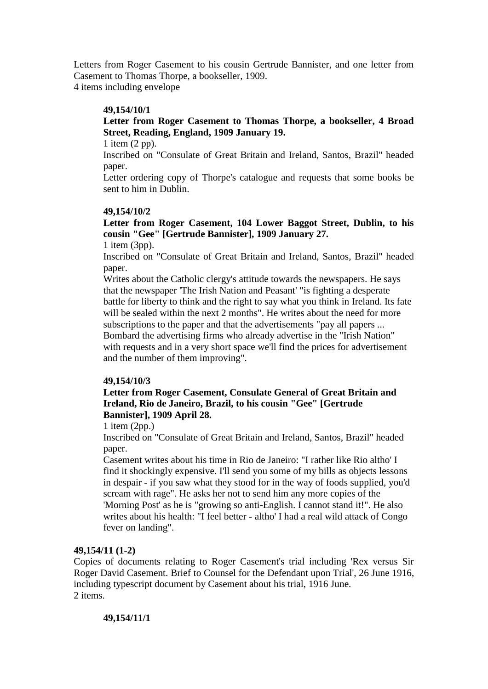Letters from Roger Casement to his cousin Gertrude Bannister, and one letter from Casement to Thomas Thorpe, a bookseller, 1909.

4 items including envelope

## **49,154/10/1**

# **Letter from Roger Casement to Thomas Thorpe, a bookseller, 4 Broad Street, Reading, England, 1909 January 19.**

1 item (2 pp).

Inscribed on "Consulate of Great Britain and Ireland, Santos, Brazil" headed paper.

Letter ordering copy of Thorpe's catalogue and requests that some books be sent to him in Dublin.

### **49,154/10/2**

**Letter from Roger Casement, 104 Lower Baggot Street, Dublin, to his cousin "Gee" [Gertrude Bannister], 1909 January 27.**

1 item (3pp).

Inscribed on "Consulate of Great Britain and Ireland, Santos, Brazil" headed paper.

Writes about the Catholic clergy's attitude towards the newspapers. He says that the newspaper 'The Irish Nation and Peasant' "is fighting a desperate battle for liberty to think and the right to say what you think in Ireland. Its fate will be sealed within the next 2 months". He writes about the need for more subscriptions to the paper and that the advertisements "pay all papers ... Bombard the advertising firms who already advertise in the "Irish Nation" with requests and in a very short space we'll find the prices for advertisement and the number of them improving".

### **49,154/10/3**

## **Letter from Roger Casement, Consulate General of Great Britain and Ireland, Rio de Janeiro, Brazil, to his cousin "Gee" [Gertrude Bannister], 1909 April 28.**

1 item (2pp.)

Inscribed on "Consulate of Great Britain and Ireland, Santos, Brazil" headed paper.

Casement writes about his time in Rio de Janeiro: "I rather like Rio altho' I find it shockingly expensive. I'll send you some of my bills as objects lessons in despair - if you saw what they stood for in the way of foods supplied, you'd scream with rage". He asks her not to send him any more copies of the 'Morning Post' as he is "growing so anti-English. I cannot stand it!". He also writes about his health: "I feel better - altho' I had a real wild attack of Congo fever on landing".

# **49,154/11 (1-2)**

Copies of documents relating to Roger Casement's trial including 'Rex versus Sir Roger David Casement. Brief to Counsel for the Defendant upon Trial', 26 June 1916, including typescript document by Casement about his trial, 1916 June. 2 items.

### **49,154/11/1**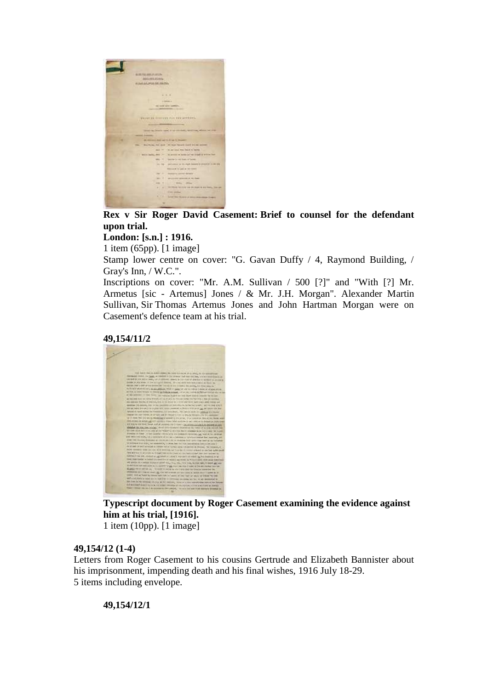

**Rex v Sir Roger David Casement: Brief to counsel for the defendant upon trial.**

**London: [s.n.] : 1916.**

1 item (65pp). [1 image]

Stamp lower centre on cover: "G. Gavan Duffy / 4, Raymond Building, / Gray's Inn, / W.C.".

Inscriptions on cover: "Mr. A.M. Sullivan / 500 [?]" and "With [?] Mr. Armetus [sic - Artemus] Jones / & Mr. J.H. Morgan". Alexander Martin Sullivan, Sir Thomas Artemus Jones and John Hartman Morgan were on Casement's defence team at his trial.





**Typescript document by Roger Casement examining the evidence against him at his trial, [1916].**

1 item (10pp). [1 image]

## **49,154/12 (1-4)**

Letters from Roger Casement to his cousins Gertrude and Elizabeth Bannister about his imprisonment, impending death and his final wishes, 1916 July 18-29. 5 items including envelope.

**49,154/12/1**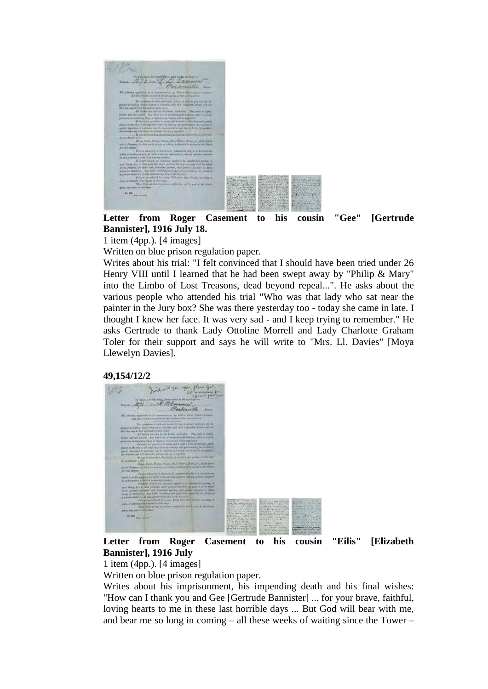

**Letter from Roger Casement to his cousin "Gee" [Gertrude Bannister], 1916 July 18.**

1 item (4pp.). [4 images]

Written on blue prison regulation paper.

Writes about his trial: "I felt convinced that I should have been tried under 26 Henry VIII until I learned that he had been swept away by "Philip & Mary" into the Limbo of Lost Treasons, dead beyond repeal...". He asks about the various people who attended his trial "Who was that lady who sat near the painter in the Jury box? She was there yesterday too - today she came in late. I thought I knew her face. It was very sad - and I keep trying to remember." He asks Gertrude to thank Lady Ottoline Morrell and Lady Charlotte Graham Toler for their support and says he will write to "Mrs. Ll. Davies" [Moya Llewelyn Davies].





**Letter from Roger Casement to his cousin "Eilis" [Elizabeth Bannister], 1916 July** 

1 item (4pp.). [4 images]

Written on blue prison regulation paper.

Writes about his imprisonment, his impending death and his final wishes: "How can I thank you and Gee [Gertrude Bannister] ... for your brave, faithful, loving hearts to me in these last horrible days ... But God will bear with me, and bear me so long in coming – all these weeks of waiting since the Tower –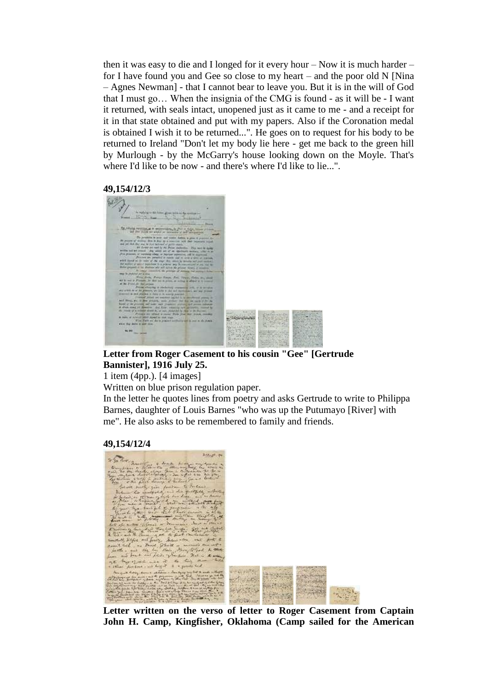then it was easy to die and I longed for it every hour – Now it is much harder – for I have found you and Gee so close to my heart – and the poor old N [Nina – Agnes Newman] - that I cannot bear to leave you. But it is in the will of God that I must go… When the insignia of the CMG is found - as it will be - I want it returned, with seals intact, unopened just as it came to me - and a receipt for it in that state obtained and put with my papers. Also if the Coronation medal is obtained I wish it to be returned...". He goes on to request for his body to be returned to Ireland "Don't let my body lie here - get me back to the green hill by Murlough - by the McGarry's house looking down on the Moyle. That's where I'd like to be now - and there's where I'd like to lie...".

#### **49,154/12/3**



## **Letter from Roger Casement to his cousin "Gee" [Gertrude Bannister], 1916 July 25.**

1 item (4pp.). [4 images]

Written on blue prison regulation paper.

In the letter he quotes lines from poetry and asks Gertrude to write to Philippa Barnes, daughter of Louis Barnes "who was up the Putumayo [River] with me". He also asks to be remembered to family and friends.

#### **49,154/12/4**



**Letter written on the verso of letter to Roger Casement from Captain John H. Camp, Kingfisher, Oklahoma (Camp sailed for the American**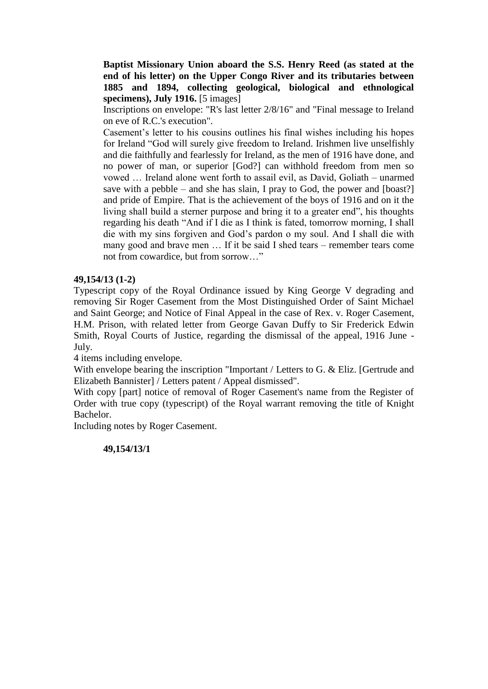**Baptist Missionary Union aboard the S.S. Henry Reed (as stated at the end of his letter) on the Upper Congo River and its tributaries between 1885 and 1894, collecting geological, biological and ethnological specimens), July 1916.** [5 images]

Inscriptions on envelope: "R's last letter 2/8/16" and "Final message to Ireland on eve of R.C.'s execution".

Casement's letter to his cousins outlines his final wishes including his hopes for Ireland "God will surely give freedom to Ireland. Irishmen live unselfishly and die faithfully and fearlessly for Ireland, as the men of 1916 have done, and no power of man, or superior [God?] can withhold freedom from men so vowed … Ireland alone went forth to assail evil, as David, Goliath – unarmed save with a pebble – and she has slain, I pray to God, the power and  $[boost?]$ and pride of Empire. That is the achievement of the boys of 1916 and on it the living shall build a sterner purpose and bring it to a greater end", his thoughts regarding his death "And if I die as I think is fated, tomorrow morning, I shall die with my sins forgiven and God's pardon o my soul. And I shall die with many good and brave men … If it be said I shed tears – remember tears come not from cowardice, but from sorrow "

#### **49,154/13 (1-2)**

Typescript copy of the Royal Ordinance issued by King George V degrading and removing Sir Roger Casement from the Most Distinguished Order of Saint Michael and Saint George; and Notice of Final Appeal in the case of Rex. v. Roger Casement, H.M. Prison, with related letter from George Gavan Duffy to Sir Frederick Edwin Smith, Royal Courts of Justice, regarding the dismissal of the appeal, 1916 June - July.

4 items including envelope.

With envelope bearing the inscription "Important / Letters to G. & Eliz. [Gertrude and Elizabeth Bannister] / Letters patent / Appeal dismissed".

With copy [part] notice of removal of Roger Casement's name from the Register of Order with true copy (typescript) of the Royal warrant removing the title of Knight Bachelor.

Including notes by Roger Casement.

#### **49,154/13/1**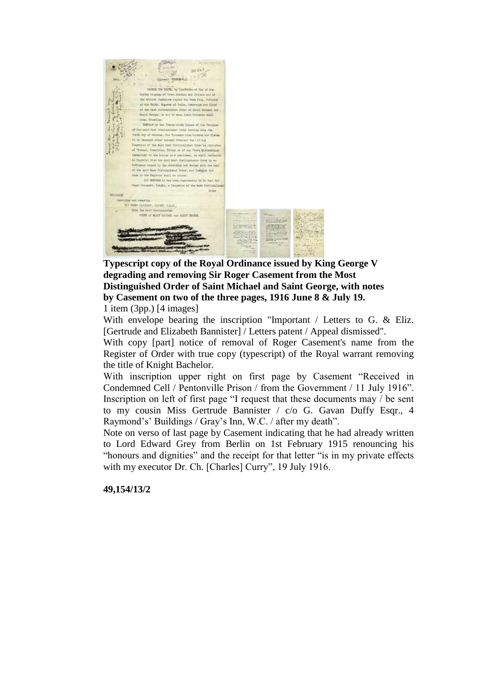

**Typescript copy of the Royal Ordinance issued by King George V degrading and removing Sir Roger Casement from the Most Distinguished Order of Saint Michael and Saint George, with notes by Casement on two of the three pages, 1916 June 8 & July 19.**

1 item (3pp.) [4 images]

With envelope bearing the inscription "Important / Letters to G. & Eliz. [Gertrude and Elizabeth Bannister] / Letters patent / Appeal dismissed".

With copy [part] notice of removal of Roger Casement's name from the Register of Order with true copy (typescript) of the Royal warrant removing the title of Knight Bachelor.

With inscription upper right on first page by Casement "Received in Condemned Cell / Pentonville Prison / from the Government / 11 July 1916". Inscription on left of first page "I request that these documents may / be sent to my cousin Miss Gertrude Bannister / c/o G. Gavan Duffy Esqr., 4 Raymond's' Buildings / Gray's Inn, W.C. / after my death".

Note on verso of last page by Casement indicating that he had already written to Lord Edward Grey from Berlin on 1st February 1915 renouncing his "honours and dignities" and the receipt for that letter "is in my private effects with my executor Dr. Ch. [Charles] Curry", 19 July 1916.

**49,154/13/2**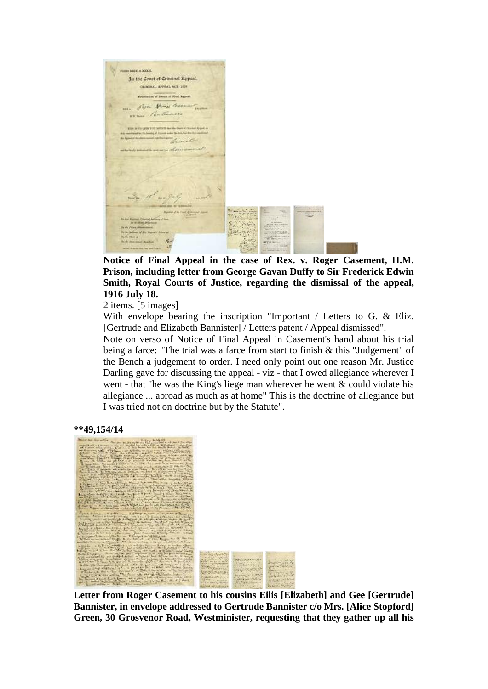

**Notice of Final Appeal in the case of Rex. v. Roger Casement, H.M. Prison, including letter from George Gavan Duffy to Sir Frederick Edwin Smith, Royal Courts of Justice, regarding the dismissal of the appeal, 1916 July 18.**

2 items. [5 images]

With envelope bearing the inscription "Important / Letters to G. & Eliz. [Gertrude and Elizabeth Bannister] / Letters patent / Appeal dismissed".

Note on verso of Notice of Final Appeal in Casement's hand about his trial being a farce: "The trial was a farce from start to finish & this "Judgement" of the Bench a judgement to order. I need only point out one reason Mr. Justice Darling gave for discussing the appeal - viz - that I owed allegiance wherever I went - that "he was the King's liege man wherever he went & could violate his allegiance ... abroad as much as at home" This is the doctrine of allegiance but I was tried not on doctrine but by the Statute".





**Letter from Roger Casement to his cousins Eilis [Elizabeth] and Gee [Gertrude] Bannister, in envelope addressed to Gertrude Bannister c/o Mrs. [Alice Stopford] Green, 30 Grosvenor Road, Westminister, requesting that they gather up all his**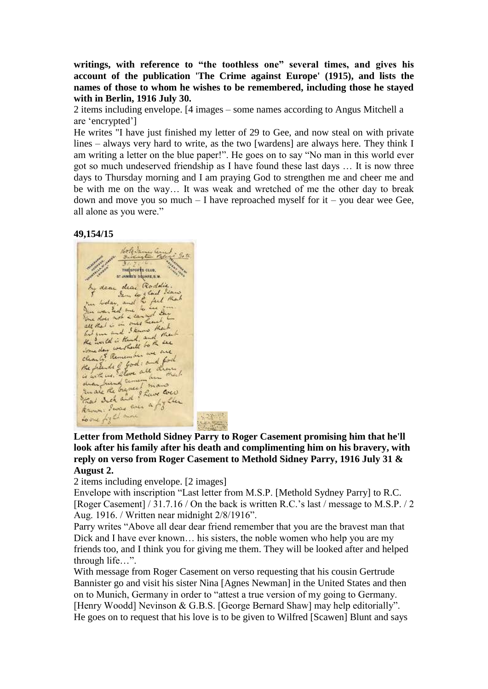**writings, with reference to "the toothless one" several times, and gives his account of the publication 'The Crime against Europe' (1915), and lists the names of those to whom he wishes to be remembered, including those he stayed with in Berlin, 1916 July 30.**

2 items including envelope. [4 images – some names according to Angus Mitchell a are 'encrypted']

He writes "I have just finished my letter of 29 to Gee, and now steal on with private lines – always very hard to write, as the two [wardens] are always here. They think I am writing a letter on the blue paper!". He goes on to say "No man in this world ever got so much undeserved friendship as I have found these last days … It is now three days to Thursday morning and I am praying God to strengthen me and cheer me and be with me on the way… It was weak and wretched of me the other day to break down and move you so much  $-$  I have reproached myself for it  $-$  you dear wee Gee, all alone as you were."

#### **49,154/15**

THE EFFECTS CLUB. ST JAMRE'S SQUARE, S.W. dear dear Roddie Sen we had some fun booker, and the few Don was hed me as well the he would is think , and there . clearly certail to the one the plentic of theme all dividend that det and in a fifther Ramons read

**Letter from Methold Sidney Parry to Roger Casement promising him that he'll look after his family after his death and complimenting him on his bravery, with reply on verso from Roger Casement to Methold Sidney Parry, 1916 July 31 & August 2.**

2 items including envelope. [2 images]

Envelope with inscription "Last letter from M.S.P. [Methold Sydney Parry] to R.C. [Roger Casement] / 31.7.16 / On the back is written R.C.'s last / message to M.S.P. / 2 Aug. 1916. / Written near midnight 2/8/1916".

Parry writes "Above all dear dear friend remember that you are the bravest man that Dick and I have ever known… his sisters, the noble women who help you are my friends too, and I think you for giving me them. They will be looked after and helped through life…".

With message from Roger Casement on verso requesting that his cousin Gertrude Bannister go and visit his sister Nina [Agnes Newman] in the United States and then on to Munich, Germany in order to "attest a true version of my going to Germany. [Henry Woodd] Nevinson & G.B.S. [George Bernard Shaw] may help editorially". He goes on to request that his love is to be given to Wilfred [Scawen] Blunt and says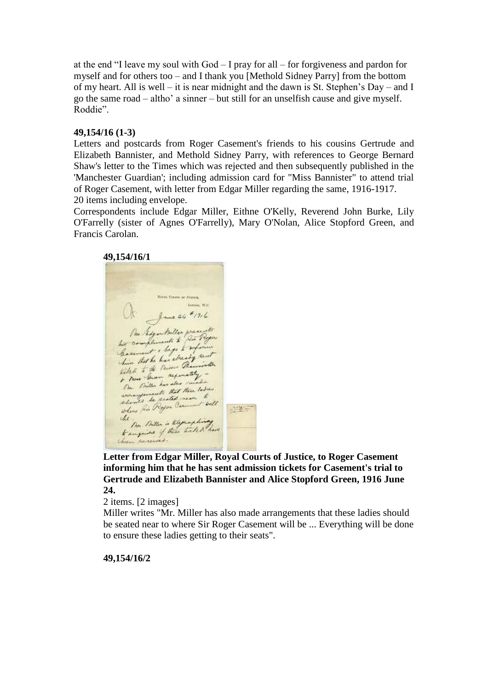at the end "I leave my soul with God – I pray for all – for forgiveness and pardon for myself and for others too – and I thank you [Methold Sidney Parry] from the bottom of my heart. All is well – it is near midnight and the dawn is St. Stephen's Day – and I go the same road – altho' a sinner – but still for an unselfish cause and give myself. Roddie".

## **49,154/16 (1-3)**

Letters and postcards from Roger Casement's friends to his cousins Gertrude and Elizabeth Bannister, and Methold Sidney Parry, with references to George Bernard Shaw's letter to the Times which was rejected and then subsequently published in the 'Manchester Guardian'; including admission card for "Miss Bannister" to attend trial of Roger Casement, with letter from Edgar Miller regarding the same, 1916-1917. 20 items including envelope.

Correspondents include Edgar Miller, Eithne O'Kelly, Reverend John Burke, Lily O'Farrelly (sister of Agnes O'Farrelly), Mary O'Nolan, Alice Stopford Green, and Francis Carolan.

**49,154/16/1 TAX CORVIN OF JUSTICE** Letter W.C. June 24 # 1916 One recontroller prese his compliments to his complements to reference Carment , begge and and witch . Sum regiments & Pomer General has also The Pollen has sent there ladges should be seated near seil  $\frac{1}{\sqrt{2}}\frac{1}{\sqrt{2}}\frac{1}{\sqrt{2}}\frac{1}{\sqrt{2}}\frac{1}{\sqrt{2}}\frac{1}{\sqrt{2}}\frac{1}{\sqrt{2}}\frac{1}{\sqrt{2}}\frac{1}{\sqrt{2}}\frac{1}{\sqrt{2}}\frac{1}{\sqrt{2}}\frac{1}{\sqrt{2}}\frac{1}{\sqrt{2}}\frac{1}{\sqrt{2}}\frac{1}{\sqrt{2}}\frac{1}{\sqrt{2}}\frac{1}{\sqrt{2}}\frac{1}{\sqrt{2}}\frac{1}{\sqrt{2}}\frac{1}{\sqrt{2}}\frac{1}{\sqrt{2}}\frac{1}{\sqrt{2}}$ die the four Billon is Elegand hiney then received.

**Letter from Edgar Miller, Royal Courts of Justice, to Roger Casement informing him that he has sent admission tickets for Casement's trial to Gertrude and Elizabeth Bannister and Alice Stopford Green, 1916 June 24.**

2 items. [2 images]

Miller writes "Mr. Miller has also made arrangements that these ladies should be seated near to where Sir Roger Casement will be ... Everything will be done to ensure these ladies getting to their seats".

**49,154/16/2**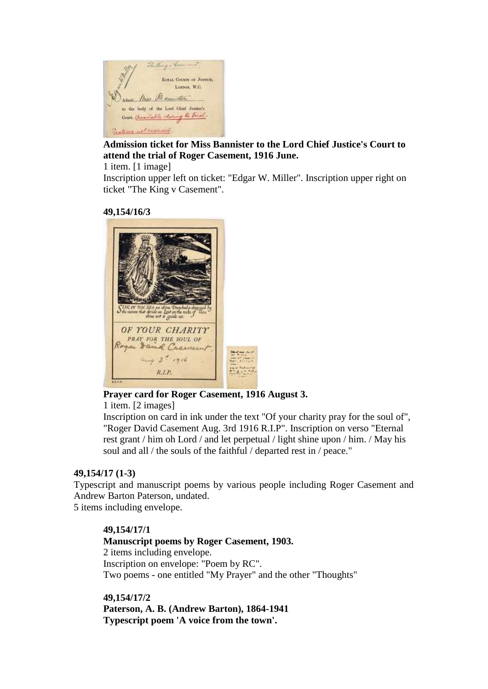

# **Admission ticket for Miss Bannister to the Lord Chief Justice's Court to attend the trial of Roger Casement, 1916 June.**

1 item. [1 image]

Inscription upper left on ticket: "Edgar W. Miller". Inscription upper right on ticket "The King v Casement".

### **49,154/16/3**



# **Prayer card for Roger Casement, 1916 August 3.**

1 item. [2 images]

Inscription on card in ink under the text "Of your charity pray for the soul of", "Roger David Casement Aug. 3rd 1916 R.I.P". Inscription on verso "Eternal rest grant / him oh Lord / and let perpetual / light shine upon / him. / May his soul and all / the souls of the faithful / departed rest in / peace."

# **49,154/17 (1-3)**

Typescript and manuscript poems by various people including Roger Casement and Andrew Barton Paterson, undated. 5 items including envelope.

### **49,154/17/1**

# **Manuscript poems by Roger Casement, 1903.** 2 items including envelope. Inscription on envelope: "Poem by RC". Two poems - one entitled "My Prayer" and the other "Thoughts"

**49,154/17/2 Paterson, A. B. (Andrew Barton), 1864-1941 Typescript poem 'A voice from the town'.**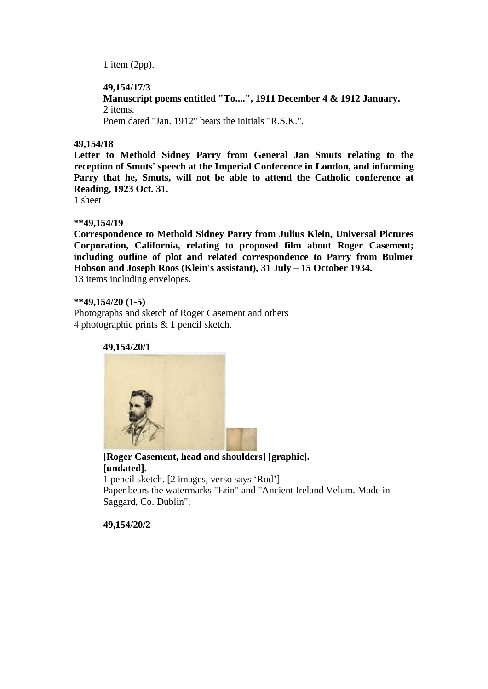1 item (2pp).

## **49,154/17/3**

**Manuscript poems entitled "To....", 1911 December 4 & 1912 January.** 2 items. Poem dated "Jan. 1912" bears the initials "R.S.K.".

## **49,154/18**

**Letter to Methold Sidney Parry from General Jan Smuts relating to the reception of Smuts' speech at the Imperial Conference in London, and informing Parry that he, Smuts, will not be able to attend the Catholic conference at Reading, 1923 Oct. 31.**

1 sheet

### **\*\*49,154/19**

**Correspondence to Methold Sidney Parry from Julius Klein, Universal Pictures Corporation, California, relating to proposed film about Roger Casement; including outline of plot and related correspondence to Parry from Bulmer Hobson and Joseph Roos (Klein's assistant), 31 July – 15 October 1934.** 13 items including envelopes.

### **\*\*49,154/20 (1-5)**

Photographs and sketch of Roger Casement and others 4 photographic prints & 1 pencil sketch.

**49,154/20/1**



**[Roger Casement, head and shoulders] [graphic]. [undated].** 1 pencil sketch. [2 images, verso says 'Rod'] Paper bears the watermarks "Erin" and "Ancient Ireland Velum. Made in Saggard, Co. Dublin".

**49,154/20/2**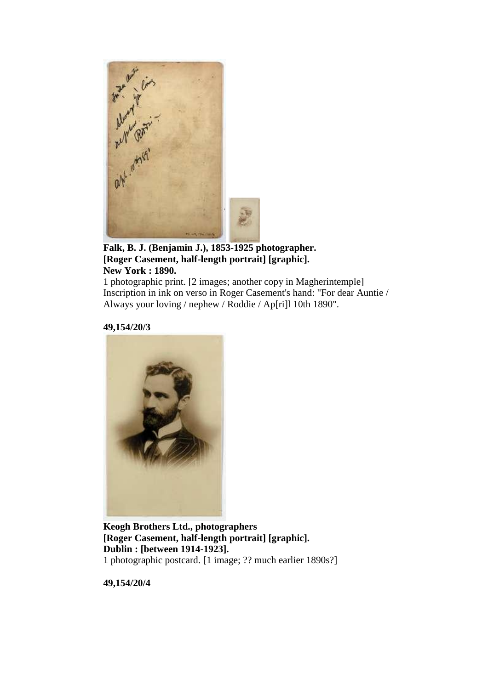

**Falk, B. J. (Benjamin J.), 1853-1925 photographer. [Roger Casement, half-length portrait] [graphic]. New York : 1890.**

1 photographic print. [2 images; another copy in Magherintemple] Inscription in ink on verso in Roger Casement's hand: "For dear Auntie / Always your loving / nephew / Roddie / Ap[ri]l 10th 1890".

**49,154/20/3**



**Keogh Brothers Ltd., photographers [Roger Casement, half-length portrait] [graphic]. Dublin : [between 1914-1923].** 1 photographic postcard. [1 image; ?? much earlier 1890s?]

**49,154/20/4**